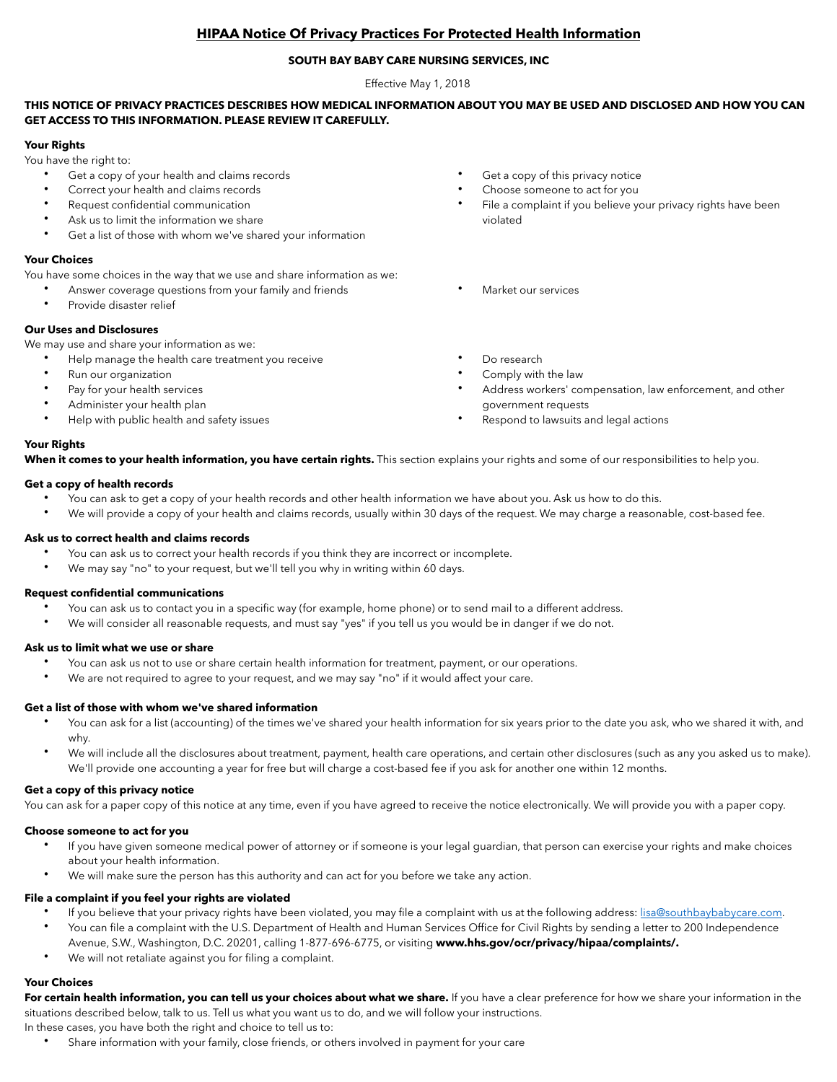## **HIPAA Notice Of Privacy Practices For Protected Health Information**

## **SOUTH BAY BABY CARE NURSING SERVICES, INC**

Effective May 1, 2018

## **THIS NOTICE OF PRIVACY PRACTICES DESCRIBES HOW MEDICAL INFORMATION ABOUT YOU MAY BE USED AND DISCLOSED AND HOW YOU CAN GET ACCESS TO THIS INFORMATION. PLEASE REVIEW IT CAREFULLY.**

## **Your Rights**

You have the right to:

- Get a copy of your health and claims records
- Correct your health and claims records
- Request confidential communication
- Ask us to limit the information we share
- Get a list of those with whom we've shared your information

## **Your Choices**

**Your Rights**

You have some choices in the way that we use and share information as we:

- Answer coverage questions from your family and friends
- Provide disaster relief

## **Our Uses and Disclosures**

We may use and share your information as we:

- Help manage the health care treatment you receive
- Run our organization
- Pay for your health services
- Administer your health plan
- Help with public health and safety issues
- Get a copy of this privacy notice
- Choose someone to act for you
- File a complaint if you believe your privacy rights have been violated
- Market our services
- Do research
- Comply with the law
- Address workers' compensation, law enforcement, and other government requests
- Respond to lawsuits and legal actions

When it comes to your health information, you have certain rights. This section explains your rights and some of our responsibilities to help you.

## **Get a copy of health records**

- You can ask to get a copy of your health records and other health information we have about you. Ask us how to do this.
- We will provide a copy of your health and claims records, usually within 30 days of the request. We may charge a reasonable, cost-based fee.

## **Ask us to correct health and claims records**

- You can ask us to correct your health records if you think they are incorrect or incomplete.
- We may say "no" to your request, but we'll tell you why in writing within 60 days.

## **Request confidential communications**

- You can ask us to contact you in a specific way (for example, home phone) or to send mail to a different address.
- We will consider all reasonable requests, and must say "yes" if you tell us you would be in danger if we do not.

## **Ask us to limit what we use or share**

- You can ask us not to use or share certain health information for treatment, payment, or our operations.
- We are not required to agree to your request, and we may say "no" if it would affect your care.

## **Get a list of those with whom we've shared information**

- You can ask for a list (accounting) of the times we've shared your health information for six years prior to the date you ask, who we shared it with, and why.
- We will include all the disclosures about treatment, payment, health care operations, and certain other disclosures (such as any you asked us to make). We'll provide one accounting a year for free but will charge a cost-based fee if you ask for another one within 12 months.

## **Get a copy of this privacy notice**

You can ask for a paper copy of this notice at any time, even if you have agreed to receive the notice electronically. We will provide you with a paper copy.

#### **Choose someone to act for you**

- If you have given someone medical power of attorney or if someone is your legal guardian, that person can exercise your rights and make choices about your health information.
- We will make sure the person has this authority and can act for you before we take any action.

## **File a complaint if you feel your rights are violated**

- If you believe that your privacy rights have been violated, you may file a complaint with us at the following address: [lisa@southbaybabycare.com](mailto:lisa@southbaybabycare.com). • You can file a complaint with the U.S. Department of Health and Human Services Office for Civil Rights by sending a letter to 200 Independence
- Avenue, S.W., Washington, D.C. 20201, calling 1-877-696-6775, or visiting **www.hhs.gov/ocr/privacy/hipaa/complaints/.**
- We will not retaliate against you for filing a complaint.

## **Your Choices**

For certain health information, you can tell us your choices about what we share. If you have a clear preference for how we share your information in the situations described below, talk to us. Tell us what you want us to do, and we will follow your instructions.

In these cases, you have both the right and choice to tell us to:

• Share information with your family, close friends, or others involved in payment for your care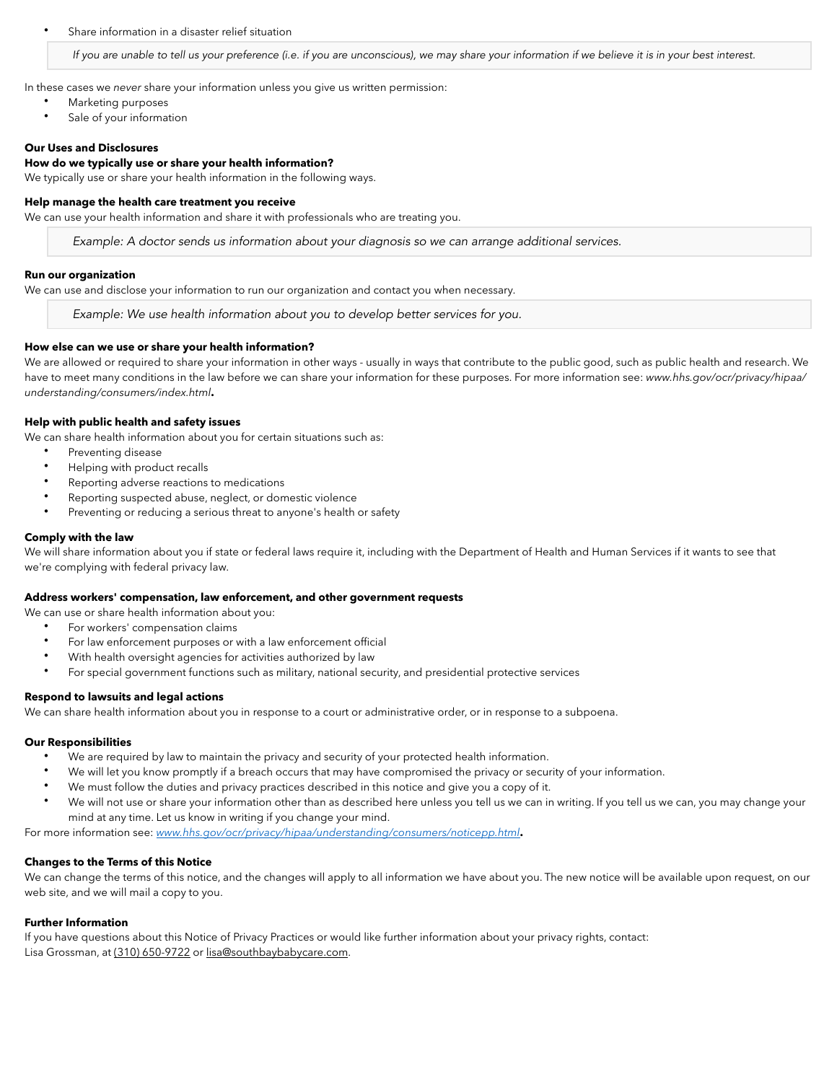Share information in a disaster relief situation

If you are unable to tell us your preference (i.e. if you are unconscious), we may share your information if we believe it is in your best interest.

In these cases we *never* share your information unless you give us written permission:

- Marketing purposes
- Sale of your information

#### **Our Uses and Disclosures**

## **How do we typically use or share your health information?**

We typically use or share your health information in the following ways.

#### **Help manage the health care treatment you receive**

We can use your health information and share it with professionals who are treating you.

*Example: A doctor sends us information about your diagnosis so we can arrange additional services.*

#### **Run our organization**

We can use and disclose your information to run our organization and contact you when necessary.

*Example: We use health information about you to develop better services for you.*

#### **How else can we use or share your health information?**

We are allowed or required to share your information in other ways - usually in ways that contribute to the public good, such as public health and research. We have to meet many conditions in the law before we can share your information for these purposes. For more information see: *www.hhs.gov/ocr/privacy/hipaa/ understanding/consumers/index.html***.**

#### **Help with public health and safety issues**

We can share health information about you for certain situations such as:

- Preventing disease
- Helping with product recalls
- Reporting adverse reactions to medications
- Reporting suspected abuse, neglect, or domestic violence
- Preventing or reducing a serious threat to anyone's health or safety

#### **Comply with the law**

We will share information about you if state or federal laws require it, including with the Department of Health and Human Services if it wants to see that we're complying with federal privacy law.

#### **Address workers' compensation, law enforcement, and other government requests**

We can use or share health information about you:

- For workers' compensation claims
- For law enforcement purposes or with a law enforcement official
- With health oversight agencies for activities authorized by law
- For special government functions such as military, national security, and presidential protective services

#### **Respond to lawsuits and legal actions**

We can share health information about you in response to a court or administrative order, or in response to a subpoena.

#### **Our Responsibilities**

- We are required by law to maintain the privacy and security of your protected health information.
- We will let you know promptly if a breach occurs that may have compromised the privacy or security of your information.
- We must follow the duties and privacy practices described in this notice and give you a copy of it.
- We will not use or share your information other than as described here unless you tell us we can in writing. If you tell us we can, you may change your mind at any time. Let us know in writing if you change your mind.

For more information see: *[www.hhs.gov/ocr/privacy/hipaa/understanding/consumers/noticepp.html](http://www.hhs.gov/ocr/privacy/hipaa/understanding/consumers/noticepp.html)***.** 

#### **Changes to the Terms of this Notice**

We can change the terms of this notice, and the changes will apply to all information we have about you. The new notice will be available upon request, on our web site, and we will mail a copy to you.

#### **Further Information**

If you have questions about this Notice of Privacy Practices or would like further information about your privacy rights, contact: Lisa Grossman, at (310) 650-9722 or [lisa@southbaybabycare.com.](mailto:lisa@southbaybabycare.com)